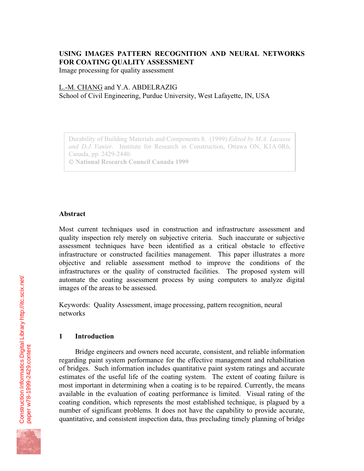# **USING IMAGES PATTERN RECOGNITION AND NEURAL NETWORKS FOR COATING QUALITY ASSESSMENT**

Image processing for quality assessment

## L.-M. CHANG and Y.A. ABDELRAZIG

School of Civil Engineering, Purdue University, West Lafayette, IN, USA

Durability of Building Materials and Components 8. (1999) *Edited by M.A. Lacasse and D.J. Vanier*. Institute for Research in Construction, Ottawa ON, K1A 0R6, Canada, pp. 2429-2440.  **National Research Council Canada 1999**

### **Abstract**

Most current techniques used in construction and infrastructure assessment and quality inspection rely merely on subjective criteria. Such inaccurate or subjective assessment techniques have been identified as a critical obstacle to effective infrastructure or constructed facilities management. This paper illustrates a more objective and reliable assessment method to improve the conditions of the infrastructures or the quality of constructed facilities. The proposed system will automate the coating assessment process by using computers to analyze digital images of the areas to be assessed.

Keywords: Quality Assessment, image processing, pattern recognition, neural networks

### **1 Introduction**

Bridge engineers and owners need accurate, consistent, and reliable information regarding paint system performance for the effective management and rehabilitation of bridges. Such information includes quantitative paint system ratings and accurate estimates of the useful life of the coating system. The extent of coating failure is most important in determining when a coating is to be repaired. Currently, the means available in the evaluation of coating performance is limited. Visual rating of the coating condition, which represents the most established technique, is plagued by a number of significant problems. It does not have the capability to provide accurate, quantitative, and consistent inspection data, thus precluding timely planning of bridge

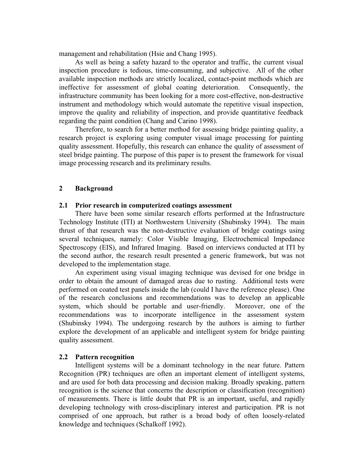management and rehabilitation (Hsie and Chang 1995).

As well as being a safety hazard to the operator and traffic, the current visual inspection procedure is tedious, time-consuming, and subjective. All of the other available inspection methods are strictly localized, contact-point methods which are ineffective for assessment of global coating deterioration. Consequently, the infrastructure community has been looking for a more cost-effective, non-destructive instrument and methodology which would automate the repetitive visual inspection, improve the quality and reliability of inspection, and provide quantitative feedback regarding the paint condition (Chang and Carino 1998).

Therefore, to search for a better method for assessing bridge painting quality, a research project is exploring using computer visual image processing for painting quality assessment. Hopefully, this research can enhance the quality of assessment of steel bridge painting. The purpose of this paper is to present the framework for visual image processing research and its preliminary results.

### **2 Background**

#### **2.1 Prior research in computerized coatings assessment**

There have been some similar research efforts performed at the Infrastructure Technology Institute (ITI) at Northwestern University (Shubinsky 1994). The main thrust of that research was the non-destructive evaluation of bridge coatings using several techniques, namely: Color Visible Imaging, Electrochemical Impedance Spectroscopy (EIS), and Infrared Imaging. Based on interviews conducted at ITI by the second author, the research result presented a generic framework, but was not developed to the implementation stage.

An experiment using visual imaging technique was devised for one bridge in order to obtain the amount of damaged areas due to rusting. Additional tests were performed on coated test panels inside the lab (could I have the reference please). One of the research conclusions and recommendations was to develop an applicable system, which should be portable and user-friendly. Moreover, one of the recommendations was to incorporate intelligence in the assessment system (Shubinsky 1994). The undergoing research by the authors is aiming to further explore the development of an applicable and intelligent system for bridge painting quality assessment.

### **2.2 Pattern recognition**

Intelligent systems will be a dominant technology in the near future. Pattern Recognition (PR) techniques are often an important element of intelligent systems, and are used for both data processing and decision making. Broadly speaking, pattern recognition is the science that concerns the description or classification (recognition) of measurements. There is little doubt that PR is an important, useful, and rapidly developing technology with cross-disciplinary interest and participation. PR is not comprised of one approach, but rather is a broad body of often loosely-related knowledge and techniques (Schalkoff 1992).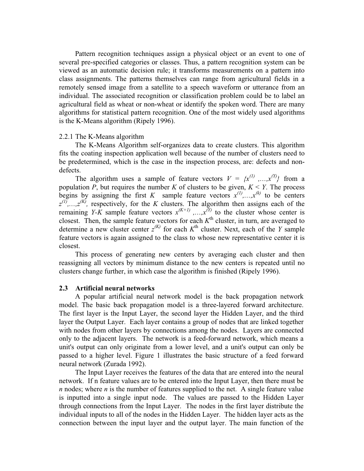Pattern recognition techniques assign a physical object or an event to one of several pre-specified categories or classes. Thus, a pattern recognition system can be viewed as an automatic decision rule; it transforms measurements on a pattern into class assignments. The patterns themselves can range from agricultural fields in a remotely sensed image from a satellite to a speech waveform or utterance from an individual. The associated recognition or classification problem could be to label an agricultural field as wheat or non-wheat or identify the spoken word. There are many algorithms for statistical pattern recognition. One of the most widely used algorithms is the K-Means algorithm (Ripely 1996).

#### 2.2.1 The K-Means algorithm

The K-Means Algorithm self-organizes data to create clusters. This algorithm fits the coating inspection application well because of the number of clusters need to be predetermined, which is the case in the inspection process, are: defects and nondefects.

The algorithm uses a sample of feature vectors  $V = \{x^{(1)}, ..., x^{(Y)}\}$  from a population *P*, but requires the number *K* of clusters to be given,  $K \leq Y$ . The process begins by assigning the first *K* sample feature vectors  $x^{(1)},...,x^{(k)}$  to be centers  $z^{(1)},...,z^{(K)}$ , respectively, for the *K* clusters. The algorithm then assigns each of the remaining *Y-K* sample feature vectors  $x^{(K+1)}$ ,..., $x^{(Y)}$  to the cluster whose center is closest. Then, the sample feature vectors for each *K*th cluster, in turn, are averaged to determine a new cluster center  $z^{(K)}$  for each  $K^{\text{th}}$  cluster. Next, each of the *Y* sample feature vectors is again assigned to the class to whose new representative center it is closest.

This process of generating new centers by averaging each cluster and then reassigning all vectors by minimum distance to the new centers is repeated until no clusters change further, in which case the algorithm is finished (Ripely 1996).

### **2.3 Artificial neural networks**

A popular artificial neural network model is the back propagation network model. The basic back propagation model is a three-layered forward architecture. The first layer is the Input Layer, the second layer the Hidden Layer, and the third layer the Output Layer. Each layer contains a group of nodes that are linked together with nodes from other layers by connections among the nodes. Layers are connected only to the adjacent layers. The network is a feed-forward network, which means a unit's output can only originate from a lower level, and a unit's output can only be passed to a higher level. Figure 1 illustrates the basic structure of a feed forward neural network (Zurada 1992).

The Input Layer receives the features of the data that are entered into the neural network. If n feature values are to be entered into the Input Layer, then there must be *n* nodes; where *n* is the number of features supplied to the net. A single feature value is inputted into a single input node. The values are passed to the Hidden Layer through connections from the Input Layer. The nodes in the first layer distribute the individual inputs to all of the nodes in the Hidden Layer. The hidden layer acts as the connection between the input layer and the output layer. The main function of the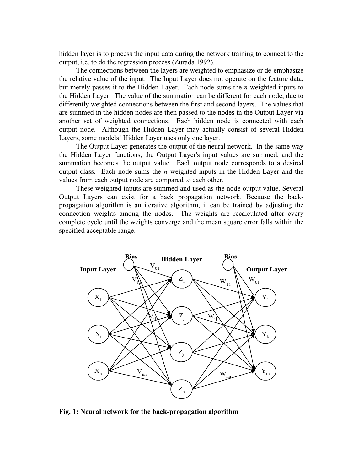hidden layer is to process the input data during the network training to connect to the output, i.e. to do the regression process (Zurada 1992).

The connections between the layers are weighted to emphasize or de-emphasize the relative value of the input. The Input Layer does not operate on the feature data, but merely passes it to the Hidden Layer. Each node sums the *n* weighted inputs to the Hidden Layer. The value of the summation can be different for each node, due to differently weighted connections between the first and second layers. The values that are summed in the hidden nodes are then passed to the nodes in the Output Layer via another set of weighted connections. Each hidden node is connected with each output node. Although the Hidden Layer may actually consist of several Hidden Layers, some models' Hidden Layer uses only one layer.

The Output Layer generates the output of the neural network. In the same way the Hidden Layer functions, the Output Layer's input values are summed, and the summation becomes the output value. Each output node corresponds to a desired output class. Each node sums the *n* weighted inputs in the Hidden Layer and the values from each output node are compared to each other.

These weighted inputs are summed and used as the node output value. Several Output Layers can exist for a back propagation network. Because the backpropagation algorithm is an iterative algorithm, it can be trained by adjusting the connection weights among the nodes. The weights are recalculated after every complete cycle until the weights converge and the mean square error falls within the specified acceptable range.



**Fig. 1: Neural network for the back-propagation algorithm**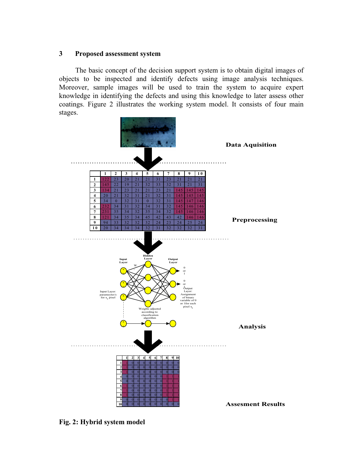## **3 Proposed assessment system**

The basic concept of the decision support system is to obtain digital images of objects to be inspected and identify defects using image analysis techniques. Moreover, sample images will be used to train the system to acquire expert knowledge in identifying the defects and using this knowledge to later assess other coatings. Figure 2 illustrates the working system model. It consists of four main stages.



**Fig. 2: Hybrid system model**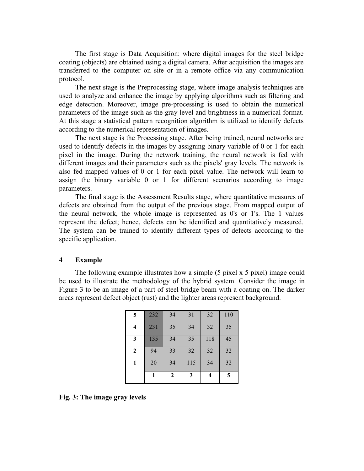The first stage is Data Acquisition: where digital images for the steel bridge coating (objects) are obtained using a digital camera. After acquisition the images are transferred to the computer on site or in a remote office via any communication protocol.

The next stage is the Preprocessing stage, where image analysis techniques are used to analyze and enhance the image by applying algorithms such as filtering and edge detection. Moreover, image pre-processing is used to obtain the numerical parameters of the image such as the gray level and brightness in a numerical format. At this stage a statistical pattern recognition algorithm is utilized to identify defects according to the numerical representation of images.

The next stage is the Processing stage. After being trained, neural networks are used to identify defects in the images by assigning binary variable of 0 or 1 for each pixel in the image. During the network training, the neural network is fed with different images and their parameters such as the pixels' gray levels. The network is also fed mapped values of 0 or 1 for each pixel value. The network will learn to assign the binary variable 0 or 1 for different scenarios according to image parameters.

The final stage is the Assessment Results stage, where quantitative measures of defects are obtained from the output of the previous stage. From mapped output of the neural network, the whole image is represented as 0's or 1's. The 1 values represent the defect; hence, defects can be identified and quantitatively measured. The system can be trained to identify different types of defects according to the specific application.

### **4 Example**

The following example illustrates how a simple (5 pixel x 5 pixel) image could be used to illustrate the methodology of the hybrid system. Consider the image in Figure 3 to be an image of a part of steel bridge beam with a coating on. The darker areas represent defect object (rust) and the lighter areas represent background.

| 5            | 232 | 34             | 31  | 32  | 110 |
|--------------|-----|----------------|-----|-----|-----|
| 4            | 231 | 35             | 34  | 32  | 35  |
| 3            | 135 | 34             | 35  | 118 | 45  |
| $\mathbf{2}$ | 94  | 33             | 32  | 32  | 32  |
|              | 20  | 34             | 115 | 34  | 32  |
|              |     | $\overline{2}$ | 3   | 4   | 5   |

**Fig. 3: The image gray levels**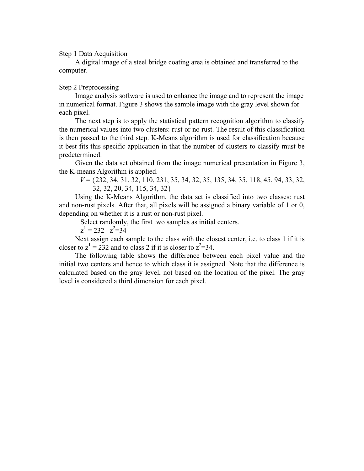Step 1 Data Acquisition

A digital image of a steel bridge coating area is obtained and transferred to the computer.

## Step 2 Preprocessing

Image analysis software is used to enhance the image and to represent the image in numerical format. Figure 3 shows the sample image with the gray level shown for each pixel.

The next step is to apply the statistical pattern recognition algorithm to classify the numerical values into two clusters: rust or no rust. The result of this classification is then passed to the third step. K-Means algorithm is used for classification because it best fits this specific application in that the number of clusters to classify must be predetermined.

Given the data set obtained from the image numerical presentation in Figure 3, the K-means Algorithm is applied.

*V* = {232, 34, 31, 32, 110, 231, 35, 34, 32, 35, 135, 34, 35, 118, 45, 94, 33, 32, 32, 32, 20, 34, 115, 34, 32}

Using the K-Means Algorithm, the data set is classified into two classes: rust and non-rust pixels. After that, all pixels will be assigned a binary variable of 1 or 0, depending on whether it is a rust or non-rust pixel.

Select randomly, the first two samples as initial centers.

 $z^1 = 232 \quad z^2 = 34$ 

Next assign each sample to the class with the closest center, i.e. to class 1 if it is closer to  $z^1 = 232$  and to class 2 if it is closer to  $z^2 = 34$ .

The following table shows the difference between each pixel value and the initial two centers and hence to which class it is assigned. Note that the difference is calculated based on the gray level, not based on the location of the pixel. The gray level is considered a third dimension for each pixel.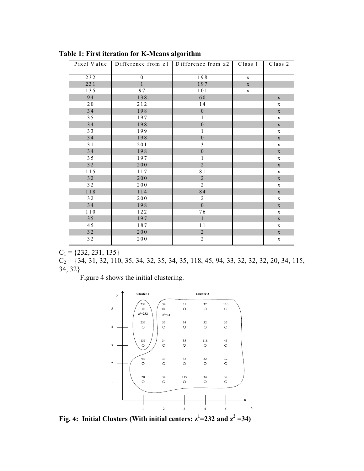|        | Pixel Value   Difference from z1   Difference from z2 |                  | Class 1     | Class 2     |
|--------|-------------------------------------------------------|------------------|-------------|-------------|
| 232    | $\mathbf{0}$                                          | 198              | $\mathbf X$ |             |
| 231    | $\mathbf{1}$                                          | 197              | $\mathbf X$ |             |
| 135    | 97                                                    | 101              | $\mathbf X$ |             |
| 94     | 138                                                   | 60               |             | $\mathbf X$ |
| 20     | 212                                                   | 14               |             | $\mathbf X$ |
| 34     | 198                                                   | $\mathbf{0}$     |             | $\mathbf X$ |
| 35     | 197                                                   | 1                |             | $\mathbf X$ |
| 34     | 198                                                   | $\boldsymbol{0}$ |             | $\mathbf X$ |
| 33     | 199                                                   | 1                |             | $\mathbf X$ |
| 34     | 198                                                   | $\boldsymbol{0}$ |             | $\mathbf X$ |
| 31     | 201                                                   | 3                |             | $\mathbf X$ |
| 34     | 198                                                   | $\boldsymbol{0}$ |             | $\mathbf X$ |
| 35     | 197                                                   | $\mathbf{1}$     |             | $\mathbf X$ |
| 32     | 200                                                   | $\overline{2}$   |             | $\mathbf X$ |
| 115    | 117                                                   | $8\,1$           |             | $\mathbf X$ |
| 32     | $200$                                                 | $\sqrt{2}$       |             | $\mathbf X$ |
| 32     | 200                                                   | 2                |             | $\mathbf X$ |
| 118    | 114                                                   | 84               |             | $\mathbf X$ |
| 32     | 200                                                   | 2                |             | $\mathbf X$ |
| 34     | 198                                                   | $\boldsymbol{0}$ |             | $\mathbf X$ |
| 110    | 122                                                   | 76               |             | $\mathbf X$ |
| 35     | 197                                                   | $\mathbf{1}$     |             | $\mathbf X$ |
| 45     | 187                                                   | 11               |             | $\mathbf X$ |
| $3\,2$ | 200                                                   | $\overline{2}$   |             | $\mathbf X$ |
| 32     | 200                                                   | $\overline{2}$   |             | $\mathbf X$ |

**Table 1: First iteration for K-Means algorithm**

 $C_1$  = {232, 231, 135}

 $C_2 = \{34, 31, 32, 110, 35, 34, 32, 35, 34, 35, 118, 45, 94, 33, 32, 32, 32, 20, 34, 115,$ 34, 32}

Figure 4 shows the initial clustering.



**Fig. 4: Initial Clusters (With initial centers;**  $z^1 = 232$  **and**  $z^2 = 34$ **)**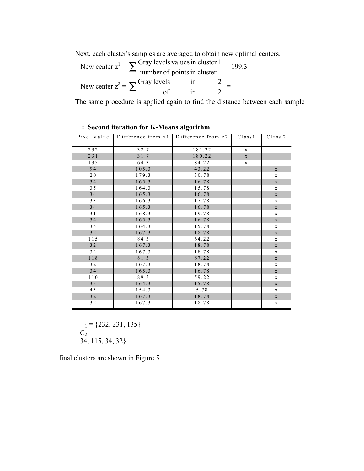Next, each cluster's samples are averaged to obtain new optimal centers.

New center 
$$
z^1 = \sum \frac{\text{Gray levels values in cluster 1}}{\text{number of points in cluster 1}} = 199.3
$$
  
New center  $z^2 = \sum \frac{\text{Gray levels}}{\text{of}} = \frac{1}{2} = \frac{199.3}{2}$ 

The same procedure is applied again to find the distance between each sample

|     | Pixel Value Difference from z1 Difference from z2 Class1 |        |              | $\overline{Class}$ 2 |
|-----|----------------------------------------------------------|--------|--------------|----------------------|
| 232 | 32.7                                                     | 181.22 | $\mathbf{x}$ |                      |
| 231 | 31.7                                                     | 180.22 | $\mathbf X$  |                      |
| 135 | 64.3                                                     | 84.22  | $\mathbf X$  |                      |
| 94  | 105.3                                                    | 43.22  |              | $\mathbf X$          |
| 20  | 179.3                                                    | 30.78  |              | $\mathbf X$          |
| 34  | 165.3                                                    | 16.78  |              | $\mathbf X$          |
| 35  | 164.3                                                    | 15.78  |              | $\mathbf X$          |
| 34  | 165.3                                                    | 16.78  |              | $\mathbf X$          |
| 33  | 166.3                                                    | 17.78  |              | $\mathbf X$          |
| 34  | 165.3                                                    | 16.78  |              | $\mathbf X$          |
| 31  | 168.3                                                    | 19.78  |              | $\mathbf X$          |
| 34  | 165.3                                                    | 16.78  |              | $\mathbf X$          |
| 35  | 164.3                                                    | 15.78  |              | $\mathbf X$          |
| 32  | 167.3                                                    | 18.78  |              | $\mathbf X$          |
| 115 | 84.3                                                     | 64.22  |              | $\mathbf X$          |
| 32  | 167.3                                                    | 18.78  |              | $\mathbf X$          |
| 32  | 167.3                                                    | 18.78  |              | $\mathbf x$          |
| 118 | 81.3                                                     | 67.22  |              | $\mathbf X$          |
| 32  | 167.3                                                    | 18.78  |              | $\mathbf X$          |
| 34  | 165.3                                                    | 16.78  |              | $\mathbf X$          |
| 110 | 89.3                                                     | 59.22  |              | $\mathbf X$          |
| 35  | 164.3                                                    | 15.78  |              | $\mathbf X$          |
| 45  | 154.3                                                    | 5.78   |              | $\mathbf X$          |
| 32  | 167.3                                                    | 18.78  |              | $\mathbf X$          |
| 32  | 167.3                                                    | 18.78  |              | $\mathbf X$          |

**: Second iteration for K-Means algorithm**

 $_1 = \{232, 231, 135\}$  $C_2$ 34, 115, 34, 32}

final clusters are shown in Figure 5.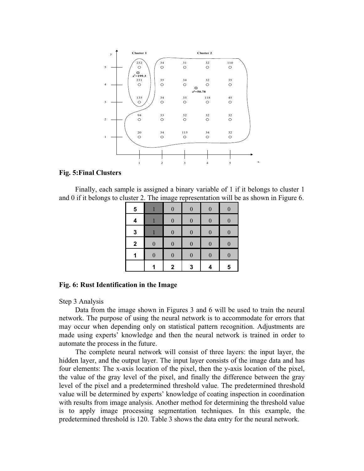

### **Fig. 5:Final Clusters**

Finally, each sample is assigned a binary variable of 1 if it belongs to cluster 1 and 0 if it belongs to cluster 2. The image representation will be as shown in Figure 6.

| 5            |                  | $\boldsymbol{0}$ | $\boldsymbol{0}$ | $\boldsymbol{0}$ | $\overline{0}$   |
|--------------|------------------|------------------|------------------|------------------|------------------|
| 4            |                  | $\boldsymbol{0}$ | $\boldsymbol{0}$ | $\boldsymbol{0}$ | $\overline{0}$   |
| $\mathbf{3}$ |                  | $\boldsymbol{0}$ | $\boldsymbol{0}$ | $\boldsymbol{0}$ | $\boldsymbol{0}$ |
| $\mathbf 2$  | $\boldsymbol{0}$ | $\boldsymbol{0}$ | $\boldsymbol{0}$ | $\overline{0}$   | $\overline{0}$   |
| 1            | $\boldsymbol{0}$ | $\boldsymbol{0}$ | $\boldsymbol{0}$ | $\boldsymbol{0}$ | $\boldsymbol{0}$ |
|              |                  | $\mathbf 2$      | 3                | 4                | 5                |

#### **Fig. 6: Rust Identification in the Image**

Step 3 Analysis

Data from the image shown in Figures 3 and 6 will be used to train the neural network. The purpose of using the neural network is to accommodate for errors that may occur when depending only on statistical pattern recognition. Adjustments are made using experts' knowledge and then the neural network is trained in order to automate the process in the future.

The complete neural network will consist of three layers: the input layer, the hidden layer, and the output layer. The input layer consists of the image data and has four elements: The x-axis location of the pixel, then the y-axis location of the pixel, the value of the gray level of the pixel, and finally the difference between the gray level of the pixel and a predetermined threshold value. The predetermined threshold value will be determined by experts' knowledge of coating inspection in coordination with results from image analysis. Another method for determining the threshold value is to apply image processing segmentation techniques. In this example, the predetermined threshold is 120. Table 3 shows the data entry for the neural network.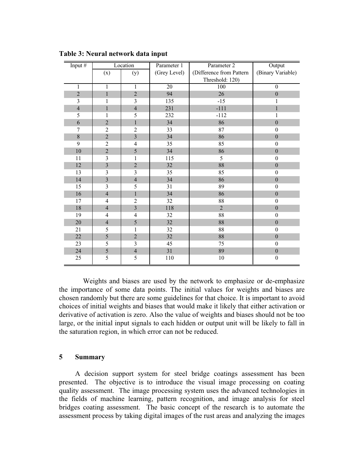| Input $#$      | Location<br>Parameter 1<br>Parameter 2 |                         |                 | Output                   |                   |
|----------------|----------------------------------------|-------------------------|-----------------|--------------------------|-------------------|
|                | (x)                                    | (y)                     | (Grey Level)    | (Difference from Pattern | (Binary Variable) |
|                |                                        |                         |                 | Threshold: 120)          |                   |
| $\mathbf{1}$   | $\mathbf{1}$                           | $\mathbf{1}$            | $\overline{20}$ | 100                      | $\boldsymbol{0}$  |
| $\sqrt{2}$     | $\mathbf 1$                            | $\overline{2}$          | 94              | 26                       | $\boldsymbol{0}$  |
| 3              | 1                                      | 3                       | 135             | $-15$                    | 1                 |
| $\overline{4}$ | $\mathbf{1}$                           | $\overline{4}$          | 231             | $-111$                   |                   |
| 5              | $\mathbf{1}$                           | 5                       | 232             | $-112$                   | 1                 |
| 6              | $\overline{2}$                         | $\mathbf 1$             | 34              | 86                       | $\mathbf{0}$      |
| 7              | $\overline{c}$                         | $\overline{c}$          | 33              | 87                       | $\theta$          |
| 8              | $\overline{2}$                         | $\overline{\mathbf{3}}$ | 34              | 86                       | $\boldsymbol{0}$  |
| 9              | $\overline{c}$                         | 4                       | 35              | 85                       | $\mathbf{0}$      |
| $10\,$         | $\overline{2}$                         | 5                       | 34              | 86                       | $\boldsymbol{0}$  |
| 11             | 3                                      | $\mathbf{1}$            | 115             | 5                        | $\boldsymbol{0}$  |
| $12\,$         | $\overline{\mathbf{3}}$                | $\overline{c}$          | 32              | 88                       | $\boldsymbol{0}$  |
| 13             | $\overline{\mathbf{3}}$                | $\overline{\mathbf{3}}$ | 35              | 85                       | $\mathbf{0}$      |
| 14             | $\overline{3}$                         | $\overline{4}$          | 34              | 86                       | $\boldsymbol{0}$  |
| 15             | $\overline{\mathbf{3}}$                | 5                       | 31              | 89                       | $\boldsymbol{0}$  |
| 16             | $\overline{4}$                         | $\mathbf{1}$            | 34              | 86                       | $\mathbf{0}$      |
| 17             | $\overline{\mathbf{4}}$                | $\overline{c}$          | 32              | 88                       | $\boldsymbol{0}$  |
| $18\,$         | $\overline{4}$                         | $\overline{3}$          | 118             | $\overline{2}$           | $\mathbf{0}$      |
| 19             | $\overline{4}$                         | $\overline{4}$          | 32              | 88                       | $\mathbf{0}$      |
| $20\,$         | $\overline{4}$                         | 5                       | 32              | 88                       | $\boldsymbol{0}$  |
| 21             | 5                                      | 1                       | 32              | 88                       | $\mathbf{0}$      |
| 22             | 5                                      | $\overline{2}$          | 32              | 88                       | $\mathbf{0}$      |
| 23             | 5                                      | 3                       | 45              | 75                       | $\boldsymbol{0}$  |
| 24             | 5                                      | $\overline{4}$          | 31              | 89                       | $\boldsymbol{0}$  |
| 25             | 5                                      | 5                       | 110             | $10\,$                   | $\boldsymbol{0}$  |

**Table 3: Neural network data input**

Weights and biases are used by the network to emphasize or de-emphasize the importance of some data points. The initial values for weights and biases are chosen randomly but there are some guidelines for that choice. It is important to avoid choices of initial weights and biases that would make it likely that either activation or derivative of activation is zero. Also the value of weights and biases should not be too large, or the initial input signals to each hidden or output unit will be likely to fall in the saturation region, in which error can not be reduced.

### **5 Summary**

A decision support system for steel bridge coatings assessment has been presented. The objective is to introduce the visual image processing on coating quality assessment. The image processing system uses the advanced technologies in the fields of machine learning, pattern recognition, and image analysis for steel bridges coating assessment. The basic concept of the research is to automate the assessment process by taking digital images of the rust areas and analyzing the images